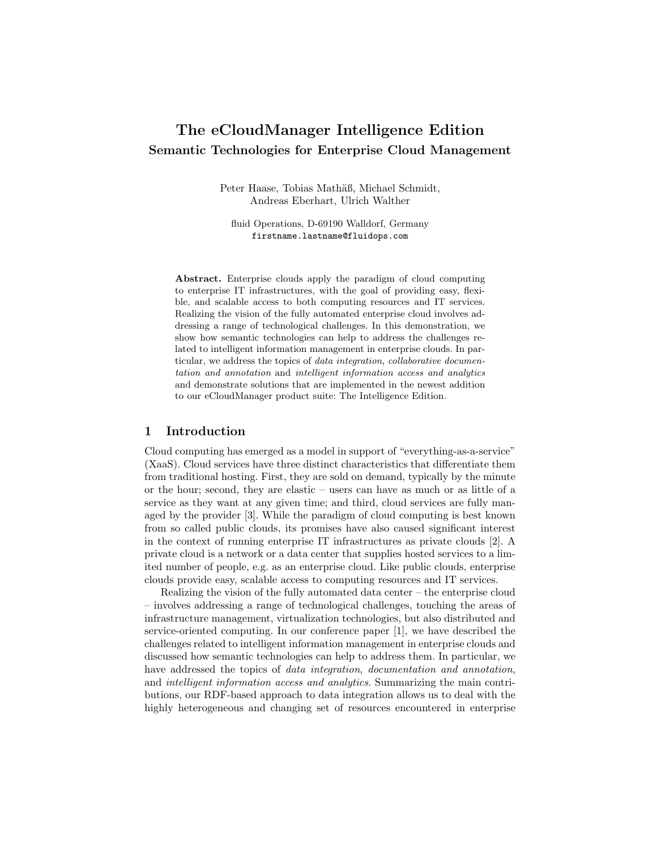# The eCloudManager Intelligence Edition Semantic Technologies for Enterprise Cloud Management

Peter Haase, Tobias Mathäß, Michael Schmidt, Andreas Eberhart, Ulrich Walther

fluid Operations, D-69190 Walldorf, Germany firstname.lastname@fluidops.com

Abstract. Enterprise clouds apply the paradigm of cloud computing to enterprise IT infrastructures, with the goal of providing easy, flexible, and scalable access to both computing resources and IT services. Realizing the vision of the fully automated enterprise cloud involves addressing a range of technological challenges. In this demonstration, we show how semantic technologies can help to address the challenges related to intelligent information management in enterprise clouds. In particular, we address the topics of *data integration*, *collaborative documen*tation and annotation and intelligent information access and analytics and demonstrate solutions that are implemented in the newest addition to our eCloudManager product suite: The Intelligence Edition.

#### 1 Introduction

Cloud computing has emerged as a model in support of "everything-as-a-service" (XaaS). Cloud services have three distinct characteristics that differentiate them from traditional hosting. First, they are sold on demand, typically by the minute or the hour; second, they are elastic – users can have as much or as little of a service as they want at any given time; and third, cloud services are fully managed by the provider [3]. While the paradigm of cloud computing is best known from so called public clouds, its promises have also caused significant interest in the context of running enterprise IT infrastructures as private clouds [2]. A private cloud is a network or a data center that supplies hosted services to a limited number of people, e.g. as an enterprise cloud. Like public clouds, enterprise clouds provide easy, scalable access to computing resources and IT services.

Realizing the vision of the fully automated data center – the enterprise cloud – involves addressing a range of technological challenges, touching the areas of infrastructure management, virtualization technologies, but also distributed and service-oriented computing. In our conference paper [1], we have described the challenges related to intelligent information management in enterprise clouds and discussed how semantic technologies can help to address them. In particular, we have addressed the topics of data integration, documentation and annotation, and intelligent information access and analytics. Summarizing the main contributions, our RDF-based approach to data integration allows us to deal with the highly heterogeneous and changing set of resources encountered in enterprise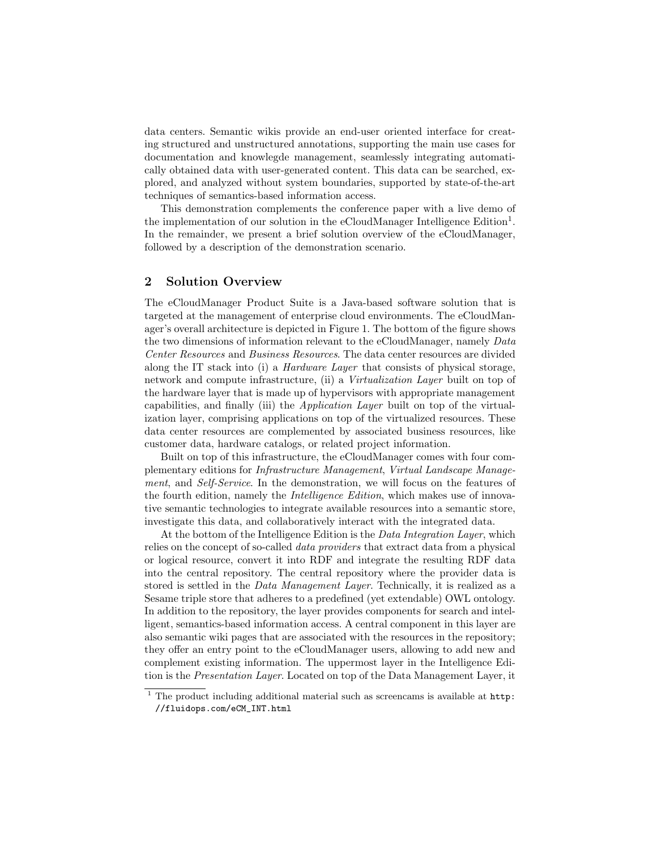data centers. Semantic wikis provide an end-user oriented interface for creating structured and unstructured annotations, supporting the main use cases for documentation and knowlegde management, seamlessly integrating automatically obtained data with user-generated content. This data can be searched, explored, and analyzed without system boundaries, supported by state-of-the-art techniques of semantics-based information access.

This demonstration complements the conference paper with a live demo of the implementation of our solution in the eCloudManager Intelligence  $\text{Edition}^1$ . In the remainder, we present a brief solution overview of the eCloudManager, followed by a description of the demonstration scenario.

#### 2 Solution Overview

The eCloudManager Product Suite is a Java-based software solution that is targeted at the management of enterprise cloud environments. The eCloudManager's overall architecture is depicted in Figure 1. The bottom of the figure shows the two dimensions of information relevant to the eCloudManager, namely Data Center Resources and Business Resources. The data center resources are divided along the IT stack into (i) a Hardware Layer that consists of physical storage, network and compute infrastructure, (ii) a Virtualization Layer built on top of the hardware layer that is made up of hypervisors with appropriate management capabilities, and finally (iii) the Application Layer built on top of the virtualization layer, comprising applications on top of the virtualized resources. These data center resources are complemented by associated business resources, like customer data, hardware catalogs, or related project information.

Built on top of this infrastructure, the eCloudManager comes with four complementary editions for Infrastructure Management, Virtual Landscape Management, and Self-Service. In the demonstration, we will focus on the features of the fourth edition, namely the Intelligence Edition, which makes use of innovative semantic technologies to integrate available resources into a semantic store, investigate this data, and collaboratively interact with the integrated data.

At the bottom of the Intelligence Edition is the *Data Integration Layer*, which relies on the concept of so-called data providers that extract data from a physical or logical resource, convert it into RDF and integrate the resulting RDF data into the central repository. The central repository where the provider data is stored is settled in the *Data Management Layer*. Technically, it is realized as a Sesame triple store that adheres to a predefined (yet extendable) OWL ontology. In addition to the repository, the layer provides components for search and intelligent, semantics-based information access. A central component in this layer are also semantic wiki pages that are associated with the resources in the repository; they offer an entry point to the eCloudManager users, allowing to add new and complement existing information. The uppermost layer in the Intelligence Edition is the Presentation Layer. Located on top of the Data Management Layer, it

<sup>1</sup> The product including additional material such as screencams is available at http: //fluidops.com/eCM\_INT.html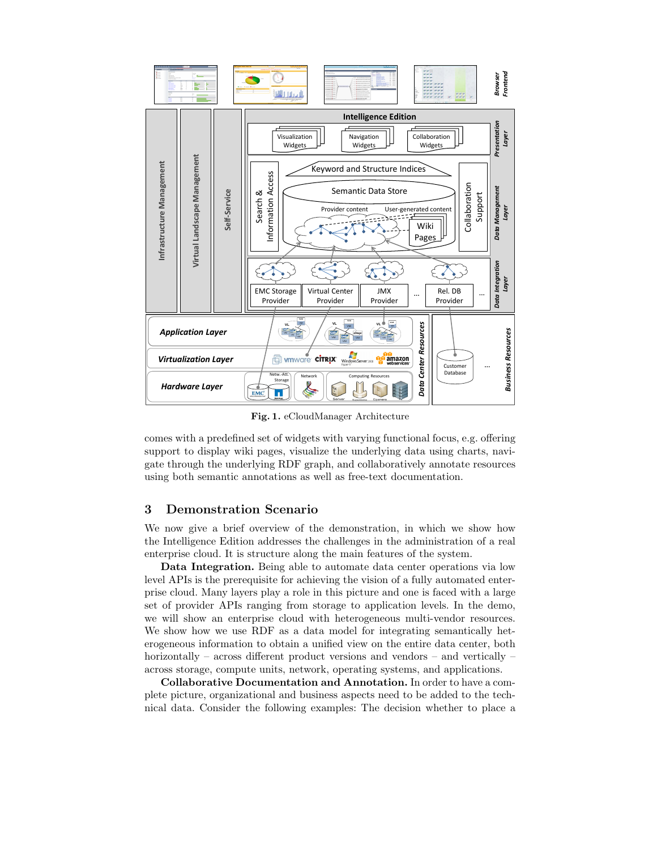

Fig. 1. eCloudManager Architecture

comes with a predefined set of widgets with varying functional focus, e.g. offering support to display wiki pages, visualize the underlying data using charts, navigate through the underlying RDF graph, and collaboratively annotate resources using both semantic annotations as well as free-text documentation.

### 3 Demonstration Scenario

We now give a brief overview of the demonstration, in which we show how the Intelligence Edition addresses the challenges in the administration of a real enterprise cloud. It is structure along the main features of the system.

Data Integration. Being able to automate data center operations via low level APIs is the prerequisite for achieving the vision of a fully automated enterprise cloud. Many layers play a role in this picture and one is faced with a large set of provider APIs ranging from storage to application levels. In the demo, we will show an enterprise cloud with heterogeneous multi-vendor resources. We show how we use RDF as a data model for integrating semantically heterogeneous information to obtain a unified view on the entire data center, both horizontally – across different product versions and vendors – and vertically – across storage, compute units, network, operating systems, and applications.

Collaborative Documentation and Annotation. In order to have a complete picture, organizational and business aspects need to be added to the technical data. Consider the following examples: The decision whether to place a